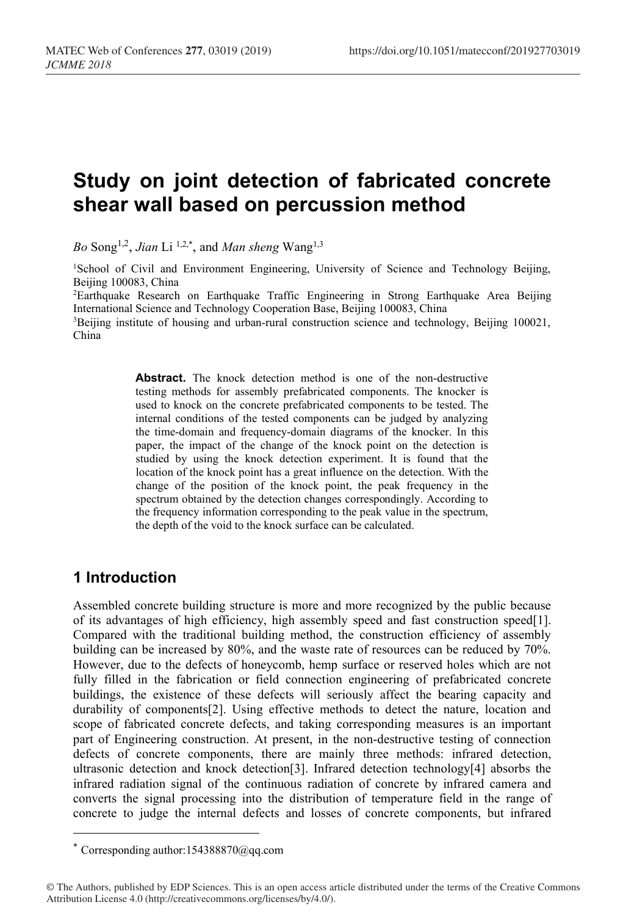# **Study on joint detection of fabricated concrete shear wall based on percussion method**

Bo Song<sup>1,2</sup>, *Jian* Li<sup>1,2,\*</sup>, and *Man sheng* Wang<sup>1,3</sup>

<sup>1</sup>School of Civil and Environment Engineering, University of Science and Technology Beijing, Beijing 100083, China

2Earthquake Research on Earthquake Traffic Engineering in Strong Earthquake Area Beijing International Science and Technology Cooperation Base, Beijing 100083, China

<sup>3</sup>Beijing institute of housing and urban-rural construction science and technology, Beijing 100021, China

> Abstract. The knock detection method is one of the non-destructive testing methods for assembly prefabricated components. The knocker is used to knock on the concrete prefabricated components to be tested. The internal conditions of the tested components can be judged by analyzing the time-domain and frequency-domain diagrams of the knocker. In this paper, the impact of the change of the knock point on the detection is studied by using the knock detection experiment. It is found that the location of the knock point has a great influence on the detection. With the change of the position of the knock point, the peak frequency in the spectrum obtained by the detection changes correspondingly. According to the frequency information corresponding to the peak value in the spectrum, the depth of the void to the knock surface can be calculated.

# **1 Introduction**

Assembled concrete building structure is more and more recognized by the public because of its advantages of high efficiency, high assembly speed and fast construction speed[1]. Compared with the traditional building method, the construction efficiency of assembly building can be increased by 80%, and the waste rate of resources can be reduced by 70%. However, due to the defects of honeycomb, hemp surface or reserved holes which are not fully filled in the fabrication or field connection engineering of prefabricated concrete buildings, the existence of these defects will seriously affect the bearing capacity and durability of components[2]. Using effective methods to detect the nature, location and scope of fabricated concrete defects, and taking corresponding measures is an important part of Engineering construction. At present, in the non-destructive testing of connection defects of concrete components, there are mainly three methods: infrared detection, ultrasonic detection and knock detection[3]. Infrared detection technology[4] absorbs the infrared radiation signal of the continuous radiation of concrete by infrared camera and converts the signal processing into the distribution of temperature field in the range of concrete to judge the internal defects and losses of concrete components, but infrared

 $*$  Corresponding author: 154388870@qq.com

<sup>©</sup> The Authors, published by EDP Sciences. This is an open access article distributed under the terms of the Creative Commons Attribution License 4.0 (http://creativecommons.org/licenses/by/4.0/).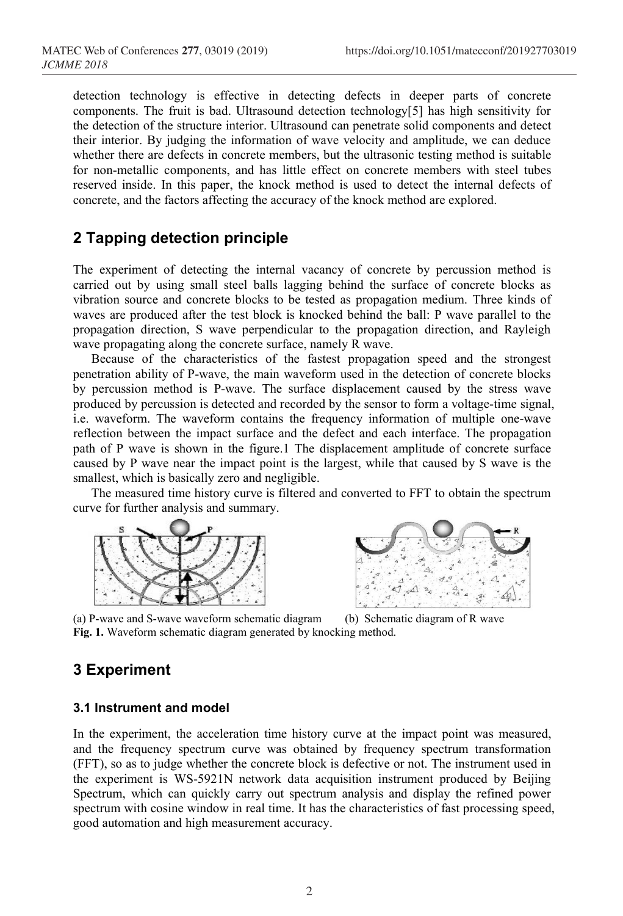detection technology is effective in detecting defects in deeper parts of concrete components. The fruit is bad. Ultrasound detection technology[5] has high sensitivity for the detection of the structure interior. Ultrasound can penetrate solid components and detect their interior. By judging the information of wave velocity and amplitude, we can deduce whether there are defects in concrete members, but the ultrasonic testing method is suitable for non-metallic components, and has little effect on concrete members with steel tubes reserved inside. In this paper, the knock method is used to detect the internal defects of concrete, and the factors affecting the accuracy of the knock method are explored.

# **2 Tapping detection principle**

The experiment of detecting the internal vacancy of concrete by percussion method is carried out by using small steel balls lagging behind the surface of concrete blocks as vibration source and concrete blocks to be tested as propagation medium. Three kinds of waves are produced after the test block is knocked behind the ball: P wave parallel to the propagation direction, S wave perpendicular to the propagation direction, and Rayleigh wave propagating along the concrete surface, namely R wave.

Because of the characteristics of the fastest propagation speed and the strongest penetration ability of P-wave, the main waveform used in the detection of concrete blocks by percussion method is P-wave. The surface displacement caused by the stress wave produced by percussion is detected and recorded by the sensor to form a voltage-time signal, i.e. waveform. The waveform contains the frequency information of multiple one-wave reflection between the impact surface and the defect and each interface. The propagation path of P wave is shown in the figure.1 The displacement amplitude of concrete surface caused by P wave near the impact point is the largest, while that caused by S wave is the smallest, which is basically zero and negligible.

The measured time history curve is filtered and converted to FFT to obtain the spectrum curve for further analysis and summary.





(a) P-wave and S-wave waveform schematic diagram (b) Schematic diagram of R wave **Fig. 1.** Waveform schematic diagram generated by knocking method.

# **3 Experiment**

#### **3.1 Instrument and model**

In the experiment, the acceleration time history curve at the impact point was measured, and the frequency spectrum curve was obtained by frequency spectrum transformation (FFT), so as to judge whether the concrete block is defective or not. The instrument used in the experiment is WS-5921N network data acquisition instrument produced by Beijing Spectrum, which can quickly carry out spectrum analysis and display the refined power spectrum with cosine window in real time. It has the characteristics of fast processing speed, good automation and high measurement accuracy.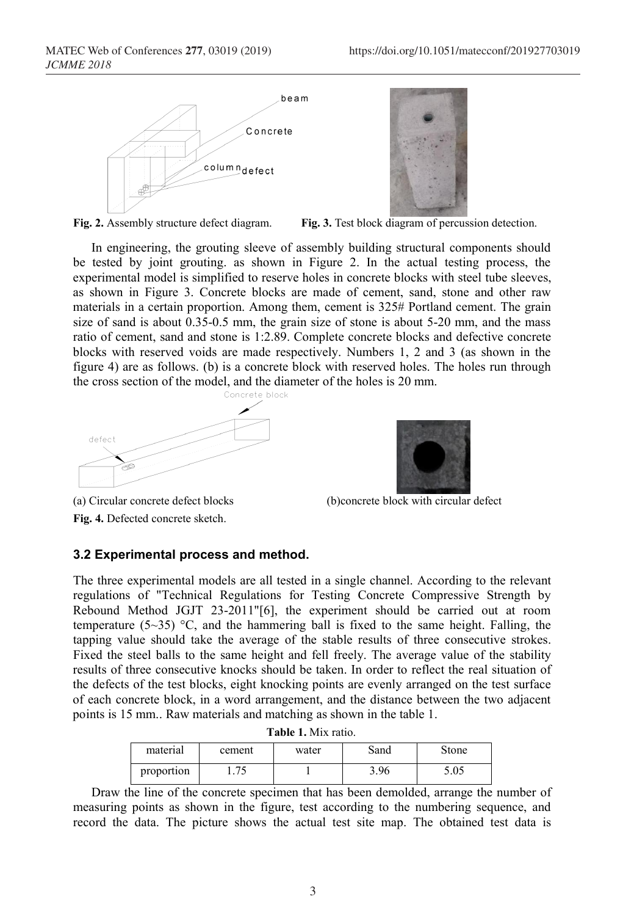



In engineering, the grouting sleeve of assembly building structural components should be tested by joint grouting. as shown in Figure 2. In the actual testing process, the experimental model is simplified to reserve holes in concrete blocks with steel tube sleeves, as shown in Figure 3. Concrete blocks are made of cement, sand, stone and other raw materials in a certain proportion. Among them, cement is 325# Portland cement. The grain size of sand is about 0.35-0.5 mm, the grain size of stone is about 5-20 mm, and the mass ratio of cement, sand and stone is 1:2.89. Complete concrete blocks and defective concrete blocks with reserved voids are made respectively. Numbers 1, 2 and 3 (as shown in the figure 4) are as follows. (b) is a concrete block with reserved holes. The holes run through the cross section of the model, and the diameter of the holes is 20 mm.





(a) Circular concrete defect blocks (b)concrete block with circular defect

**Fig. 4.** Defected concrete sketch.

#### **3.2 Experimental process and method.**

The three experimental models are all tested in a single channel. According to the relevant regulations of "Technical Regulations for Testing Concrete Compressive Strength by Rebound Method JGJT 23-2011"[6], the experiment should be carried out at room temperature (5~35)  $\degree$ C, and the hammering ball is fixed to the same height. Falling, the tapping value should take the average of the stable results of three consecutive strokes. Fixed the steel balls to the same height and fell freely. The average value of the stability results of three consecutive knocks should be taken. In order to reflect the real situation of the defects of the test blocks, eight knocking points are evenly arranged on the test surface of each concrete block, in a word arrangement, and the distance between the two adjacent points is 15 mm.. Raw materials and matching as shown in the table 1.

| Table 1. Mix ratio. |  |  |  |
|---------------------|--|--|--|
|---------------------|--|--|--|

| material   | cement                 | water | Sand | Stone |
|------------|------------------------|-------|------|-------|
| proportion | ワム<br>$\cdot$ / $\sim$ |       | 3.96 | 5.05  |

Draw the line of the concrete specimen that has been demolded, arrange the number of measuring points as shown in the figure, test according to the numbering sequence, and record the data. The picture shows the actual test site map. The obtained test data is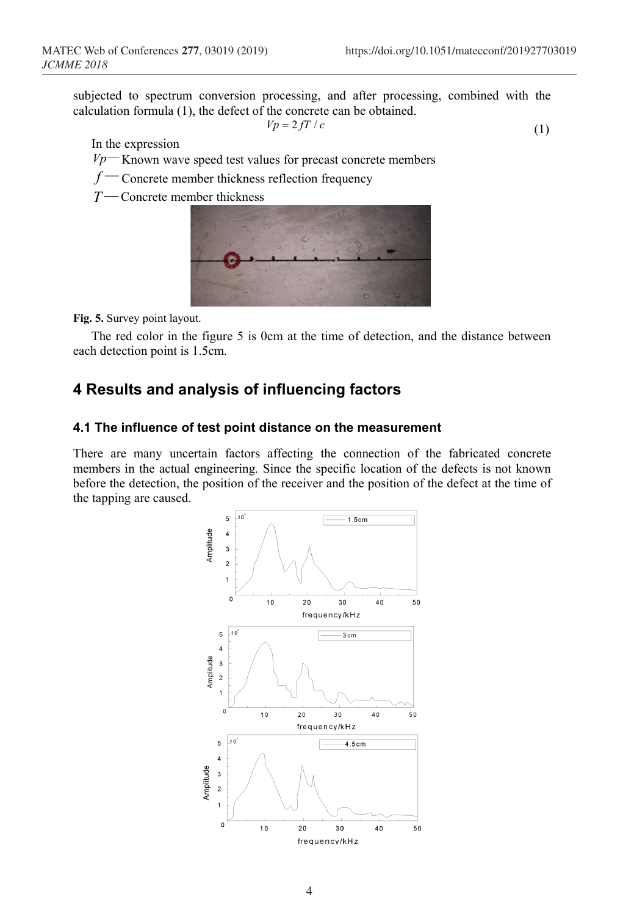subjected to spectrum conversion processing, and after processing, combined with the calculation formula (1), the defect of the concrete can be obtained.

$$
Vp = 2fT/c \tag{1}
$$

In the expression

- *Vp*—Known wave speed test values for precast concrete members
- $f$  Concrete member thickness reflection frequency
- *T*—Concrete member thickness



**Fig. 5.** Survey point layout.

The red color in the figure 5 is 0cm at the time of detection, and the distance between each detection point is 1.5cm.

# **4 Results and analysis of influencing factors**

#### **4.1 The influence of test point distance on the measurement**

There are many uncertain factors affecting the connection of the fabricated concrete members in the actual engineering. Since the specific location of the defects is not known before the detection, the position of the receiver and the position of the defect at the time of the tapping are caused.

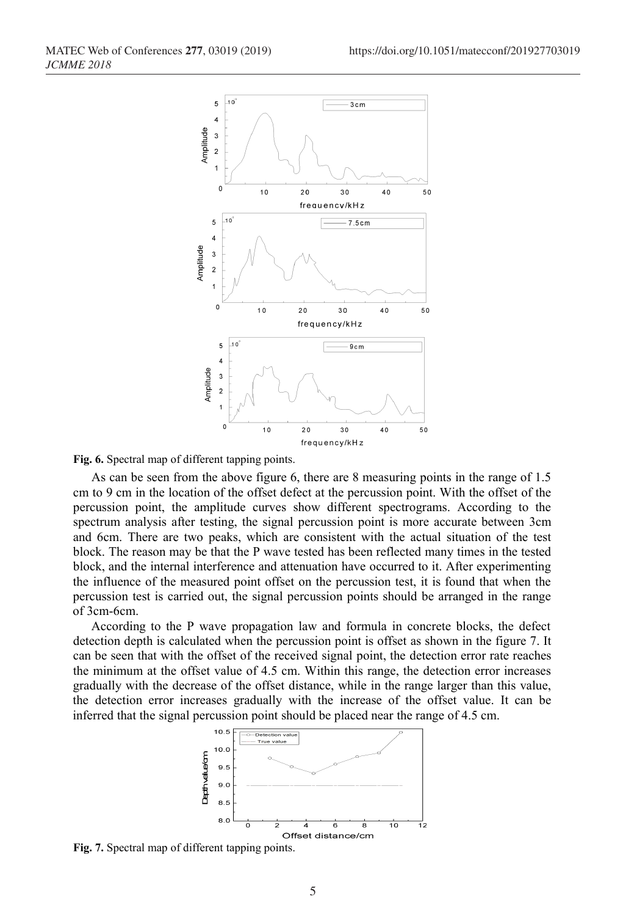

**Fig. 6.** Spectral map of different tapping points.

As can be seen from the above figure 6, there are 8 measuring points in the range of 1.5 cm to 9 cm in the location of the offset defect at the percussion point. With the offset of the percussion point, the amplitude curves show different spectrograms. According to the spectrum analysis after testing, the signal percussion point is more accurate between 3cm and 6cm. There are two peaks, which are consistent with the actual situation of the test block. The reason may be that the P wave tested has been reflected many times in the tested block, and the internal interference and attenuation have occurred to it. After experimenting the influence of the measured point offset on the percussion test, it is found that when the percussion test is carried out, the signal percussion points should be arranged in the range of 3cm-6cm.

According to the P wave propagation law and formula in concrete blocks, the defect detection depth is calculated when the percussion point is offset as shown in the figure 7. It can be seen that with the offset of the received signal point, the detection error rate reaches the minimum at the offset value of 4.5 cm. Within this range, the detection error increases gradually with the decrease of the offset distance, while in the range larger than this value, the detection error increases gradually with the increase of the offset value. It can be inferred that the signal percussion point should be placed near the range of 4.5 cm.



**Fig. 7.** Spectral map of different tapping points.